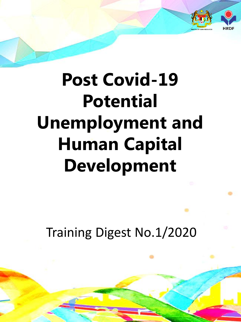

## **Post Covid-19 Potential Unemployment and Human Capital Development**

Training Digest No.1/2020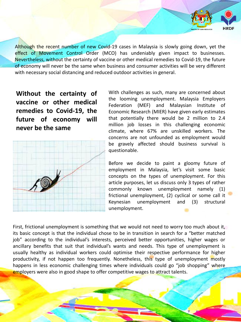Although the recent number of new Covid-19 cases in Malaysia is slowly going down, yet the effect of Movement Control Order (MCO) has undeniably given impact to businesses. Nevertheless, without the certainty of vaccine or other medical remedies to Covid-19, the future of economy will never be the same when business and consumer activities will be very different with necessary social distancing and reduced outdoor activities in general.

**Without the certainty of vaccine or other medical remedies to Covid-19, the future of economy will never be the same**



With challenges as such, many are concerned about the looming unemployment. Malaysia Employers Federation (MEF) and Malaysian Institute of Economic Research (MIER) have given early estimates that potentially there would be 2 million to 2.4 million job losses in this challenging economic climate, where 67% are unskilled workers. The concerns are not unfounded as employment would be gravely affected should business survival is questionable.

Before we decide to paint a gloomy future of employment in Malaysia, let's visit some basic concepts on the types of unemployment. For this article purposes, let us discuss only 3 types of rather commonly known unemployment namely (1) frictional unemployment, (2) cyclical or some call it Keynesian unemployment and (3) structural unemployment.

First, frictional unemployment is something that we would not need to worry too much about it, its basic concept is that the individual chose to be in transition in search for a "better matched job" according to the individual's interests, perceived better opportunities, higher wages or ancillary benefits that suit that individual's wants and needs. This type of unemployment is usually healthy as individual workers could optimise their respective performance for higher productivity, if not happen too frequently. Nonetheless, this type of unemployment mostly happens in less economic challenging times where individuals could go "job shopping" where employers were also in good shape to offer competitive wages to attract talents.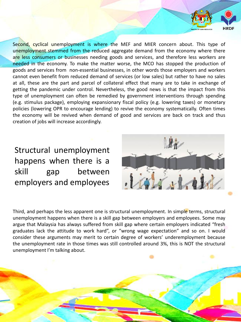Second, cyclical unemployment is where the MEF and MIER concern about. This type of unemployment stemmed from the reduced aggregate demand from the economy where there are less consumers or businesses needing goods and services, and therefore less workers are needed in the economy. To make the matter worse, the MCO has stopped the production of goods and services from non-essential businesses, in other words those employers and workers cannot even benefit from reduced demand of services (or low sales) but rather to have no sales at all, these are the part and parcel of collateral effect that many are to take in exchange of getting the pandemic under control. Nevertheless, the good news is that the impact from this type of unemployment can often be remedied by government interventions through spending (e.g. stimulus package), employing expansionary fiscal policy (e.g. lowering taxes) or monetary policies (lowering OPR to encourage lending) to revive the economy systematically. Often times the economy will be revived when demand of good and services are back on track and thus creation of jobs will increase accordingly.

## Structural unemployment happens when there is a skill gap between employers and employees



Third, and perhaps the less apparent one is structural unemployment. In simple terms, structural unemployment happens when there is a skill gap between employers and employees. Some may argue that Malaysia has always suffered from skill gap where certain employers indicated "fresh graduates lack the attitude to work hard", or "wrong wage expectation" and so on. I would consider these arguments may merit to certain degree of workers' underemployment because the unemployment rate in those times was still controlled around 3%, this is NOT the structural unemployment I'm talking about.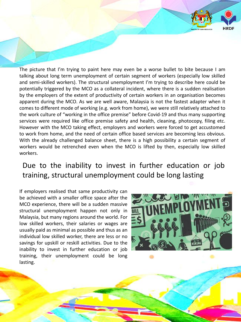The picture that I'm trying to paint here may even be a worse bullet to bite because I am talking about long term unemployment of certain segment of workers (especially low skilled and semi-skilled workers). The structural unemployment I'm trying to describe here could be potentially triggered by the MCO as a collateral incident, where there is a sudden realisation by the employers of the extent of productivity of certain workers in an organisation becomes apparent during the MCO. As we are well aware, Malaysia is not the fastest adapter when it comes to different mode of working (e.g. work from home), we were still relatively attached to the work culture of "working in the office premise" before Covid-19 and thus many supporting services were required like office premise safety and health, cleaning, photocopy, filing etc. However with the MCO taking effect, employers and workers were forced to get accustomed to work from home, and the need of certain office based services are becoming less obvious. With the already challenged balance sheet, there is a high possibility a certain segment of workers would be retrenched even when the MCO is lifted by then, especially low skilled workers.

## Due to the inability to invest in further education or job training, structural unemployment could be long lasting

If employers realised that same productivity can be achieved with a smaller office space after the MCO experience, there will be a sudden massive structural unemployment happen not only in Malaysia, but many regions around the world. For low skilled workers, their salaries or wages are usually paid as minimal as possible and thus as an individual low skilled worker, there are less or no savings for upskill or reskill activities. Due to the inability to invest in further education or job training, their unemployment could be long lasting.